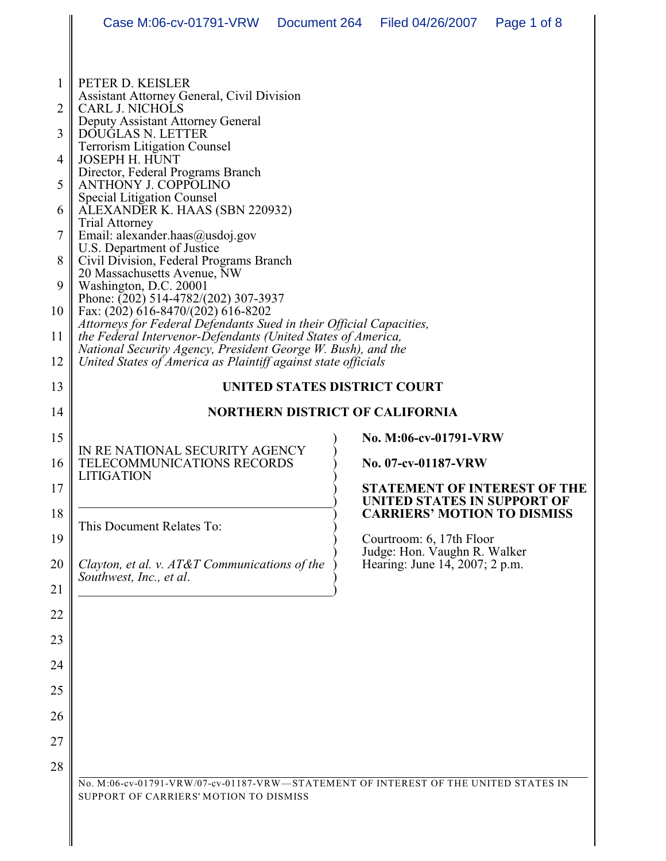| $\mathbf{1}$   | PETER D. KEISLER<br>Assistant Attorney General, Civil Division                                                                                                   |                                                                    |  |  |
|----------------|------------------------------------------------------------------------------------------------------------------------------------------------------------------|--------------------------------------------------------------------|--|--|
| $\overline{2}$ | CARL J. NICHOLS                                                                                                                                                  |                                                                    |  |  |
|                | Deputy Assistant Attorney General                                                                                                                                |                                                                    |  |  |
| 3              | DOUGLAS N. LETTER<br><b>Terrorism Litigation Counsel</b>                                                                                                         |                                                                    |  |  |
| 4              | <b>JOSEPH H. HUNT</b>                                                                                                                                            |                                                                    |  |  |
| 5              | Director, Federal Programs Branch<br><b>ANTHONY J. COPPOLINO</b><br><b>Special Litigation Counsel</b><br>ALEXANDER K. HAAS (SBN 220932)<br><b>Trial Attorney</b> |                                                                    |  |  |
| 6              |                                                                                                                                                                  |                                                                    |  |  |
| 7              | Email: alexander.haas@usdoj.gov<br>U.S. Department of Justice                                                                                                    |                                                                    |  |  |
| 8              | Civil Division, Federal Programs Branch<br>20 Massachusetts Avenue, NW                                                                                           |                                                                    |  |  |
| 9              | Washington, D.C. 20001<br>Phone: $(202)$ 514-4782/(202) 307-3937                                                                                                 |                                                                    |  |  |
| 10             | Fax: (202) 616-8470/(202) 616-8202<br>Attorneys for Federal Defendants Sued in their Official Capacities,                                                        |                                                                    |  |  |
| 11             | the Federal Intervenor-Defendants (United States of America,<br>National Security Agency, President George W. Bush), and the                                     |                                                                    |  |  |
| 12             | United States of America as Plaintiff against state officials                                                                                                    |                                                                    |  |  |
| 13             | UNITED STATES DISTRICT COURT                                                                                                                                     |                                                                    |  |  |
| 14             | <b>NORTHERN DISTRICT OF CALIFORNIA</b>                                                                                                                           |                                                                    |  |  |
| 15             | IN RE NATIONAL SECURITY AGENCY<br>TELECOMMUNICATIONS RECORDS<br><b>LITIGATION</b>                                                                                | No. M:06-cv-01791-VRW                                              |  |  |
| 16             |                                                                                                                                                                  | No. 07-cv-01187-VRW                                                |  |  |
| 17             |                                                                                                                                                                  | <b>STATEMENT OF INTEREST OF THE</b><br>UNITED STATES IN SUPPORT OF |  |  |
| 18             | This Document Relates To:                                                                                                                                        | <b>CARRIERS' MOTION TO DISMISS</b>                                 |  |  |
| 19             |                                                                                                                                                                  | Courtroom: 6, 17th Floor<br>Judge: Hon. Vaughn R. Walker           |  |  |
| 20             | Clayton, et al. v. AT&T Communications of the<br>Southwest, Inc., et al.                                                                                         | Hearing: June 14, 2007; 2 p.m.                                     |  |  |
| 21             |                                                                                                                                                                  |                                                                    |  |  |
| 22             |                                                                                                                                                                  |                                                                    |  |  |
| 23             |                                                                                                                                                                  |                                                                    |  |  |
| 24             |                                                                                                                                                                  |                                                                    |  |  |
| 25             |                                                                                                                                                                  |                                                                    |  |  |
| 26             |                                                                                                                                                                  |                                                                    |  |  |
| 27             |                                                                                                                                                                  |                                                                    |  |  |
| 28             |                                                                                                                                                                  |                                                                    |  |  |
|                | No. M:06-cv-01791-VRW/07-cv-01187-VRW-STATEMENT OF INTEREST OF THE UNITED STATES IN<br>SUPPORT OF CARRIERS' MOTION TO DISMISS                                    |                                                                    |  |  |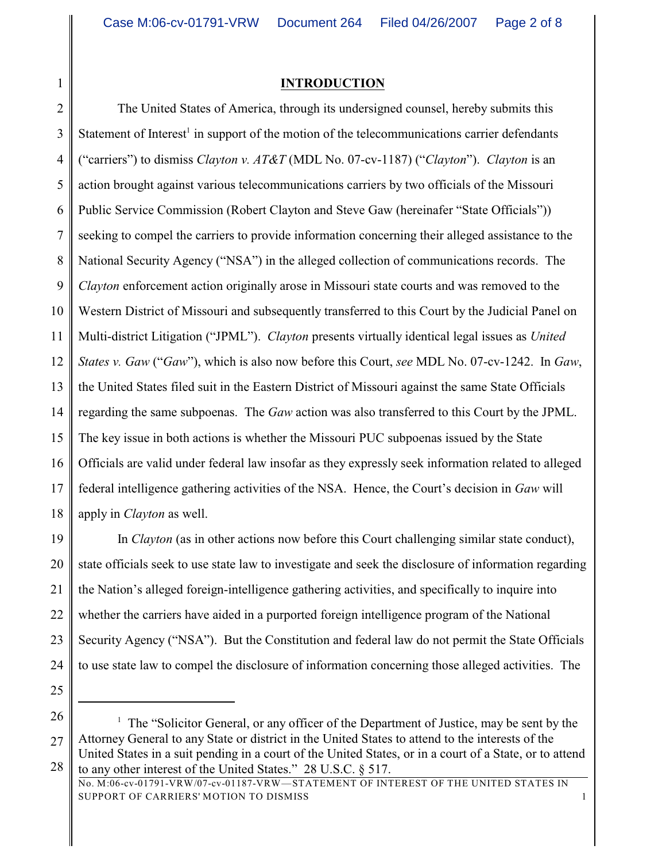1

## **INTRODUCTION**

2 3 4 5 6 7 8 9 10 11 12 13 14 15 16 17 18 The United States of America, through its undersigned counsel, hereby submits this Statement of Interest<sup>1</sup> in support of the motion of the telecommunications carrier defendants ("carriers") to dismiss *Clayton v. AT&T* (MDL No. 07-cv-1187) ("*Clayton*"). *Clayton* is an action brought against various telecommunications carriers by two officials of the Missouri Public Service Commission (Robert Clayton and Steve Gaw (hereinafer "State Officials")) seeking to compel the carriers to provide information concerning their alleged assistance to the National Security Agency ("NSA") in the alleged collection of communications records. The *Clayton* enforcement action originally arose in Missouri state courts and was removed to the Western District of Missouri and subsequently transferred to this Court by the Judicial Panel on Multi-district Litigation ("JPML"). *Clayton* presents virtually identical legal issues as *United States v. Gaw* ("*Gaw*"), which is also now before this Court, *see* MDL No. 07-cv-1242. In *Gaw*, the United States filed suit in the Eastern District of Missouri against the same State Officials regarding the same subpoenas. The *Gaw* action was also transferred to this Court by the JPML. The key issue in both actions is whether the Missouri PUC subpoenas issued by the State Officials are valid under federal law insofar as they expressly seek information related to alleged federal intelligence gathering activities of the NSA. Hence, the Court's decision in *Gaw* will apply in *Clayton* as well.

19 20 21 22 23 24 In *Clayton* (as in other actions now before this Court challenging similar state conduct), state officials seek to use state law to investigate and seek the disclosure of information regarding the Nation's alleged foreign-intelligence gathering activities, and specifically to inquire into whether the carriers have aided in a purported foreign intelligence program of the National Security Agency ("NSA"). But the Constitution and federal law do not permit the State Officials to use state law to compel the disclosure of information concerning those alleged activities. The

- 25
- 26

<sup>27</sup> 28  $\frac{1}{1}$  The "Solicitor General, or any officer of the Department of Justice, may be sent by the Attorney General to any State or district in the United States to attend to the interests of the United States in a suit pending in a court of the United States, or in a court of a State, or to attend to any other interest of the United States." 28 U.S.C. § 517.

No. M:06-cv-01791-VRW/07-cv-01187-VRW—STATEMENT OF INTEREST OF THE UNITED STATES IN SUPPORT OF CARRIERS' MOTION TO DISMISS 1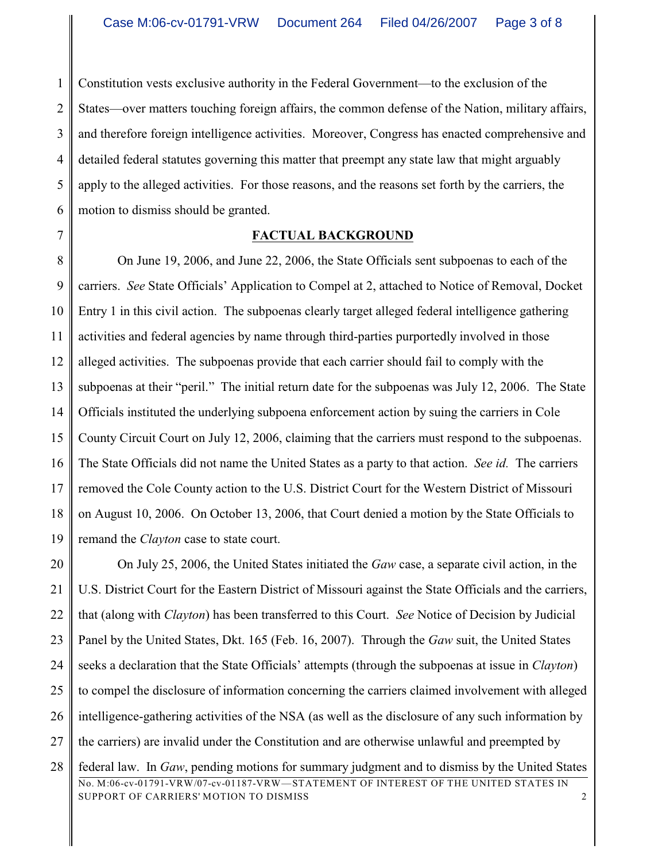1 2 3 4 5 6 Constitution vests exclusive authority in the Federal Government—to the exclusion of the States—over matters touching foreign affairs, the common defense of the Nation, military affairs, and therefore foreign intelligence activities. Moreover, Congress has enacted comprehensive and detailed federal statutes governing this matter that preempt any state law that might arguably apply to the alleged activities. For those reasons, and the reasons set forth by the carriers, the motion to dismiss should be granted.

7

## **FACTUAL BACKGROUND**

8 9 10 11 12 13 14 15 16 17 18 19 On June 19, 2006, and June 22, 2006, the State Officials sent subpoenas to each of the carriers. *See* State Officials' Application to Compel at 2, attached to Notice of Removal, Docket Entry 1 in this civil action. The subpoenas clearly target alleged federal intelligence gathering activities and federal agencies by name through third-parties purportedly involved in those alleged activities. The subpoenas provide that each carrier should fail to comply with the subpoenas at their "peril." The initial return date for the subpoenas was July 12, 2006. The State Officials instituted the underlying subpoena enforcement action by suing the carriers in Cole County Circuit Court on July 12, 2006, claiming that the carriers must respond to the subpoenas. The State Officials did not name the United States as a party to that action. *See id.* The carriers removed the Cole County action to the U.S. District Court for the Western District of Missouri on August 10, 2006. On October 13, 2006, that Court denied a motion by the State Officials to remand the *Clayton* case to state court.

20 21 22 23 24 25 26 27 28 On July 25, 2006, the United States initiated the *Gaw* case, a separate civil action, in the U.S. District Court for the Eastern District of Missouri against the State Officials and the carriers, that (along with *Clayton*) has been transferred to this Court. *See* Notice of Decision by Judicial Panel by the United States, Dkt. 165 (Feb. 16, 2007). Through the *Gaw* suit, the United States seeks a declaration that the State Officials' attempts (through the subpoenas at issue in *Clayton*) to compel the disclosure of information concerning the carriers claimed involvement with alleged intelligence-gathering activities of the NSA (as well as the disclosure of any such information by the carriers) are invalid under the Constitution and are otherwise unlawful and preempted by federal law. In *Gaw*, pending motions for summary judgment and to dismiss by the United States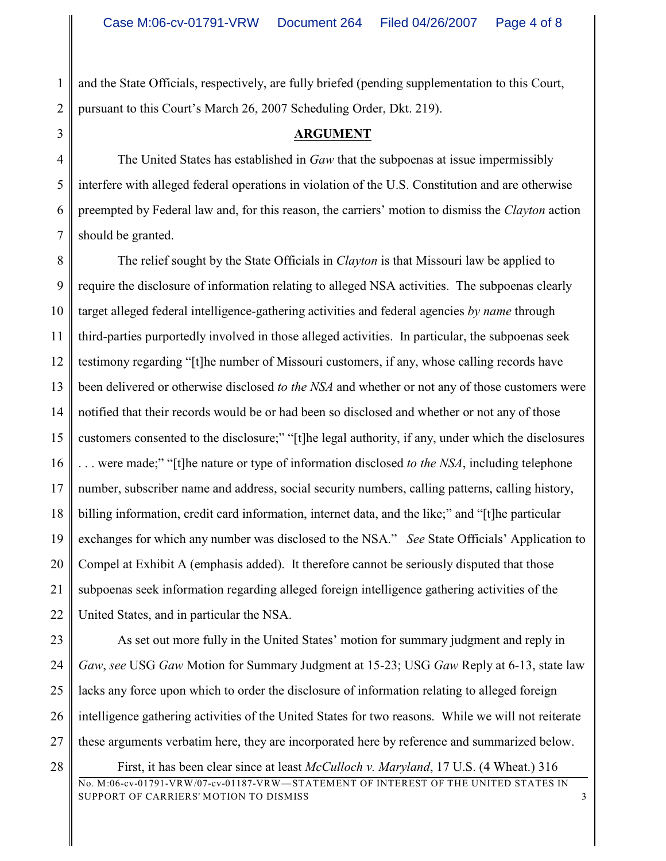1 2 and the State Officials, respectively, are fully briefed (pending supplementation to this Court, pursuant to this Court's March 26, 2007 Scheduling Order, Dkt. 219).

3

28

## **ARGUMENT**

4 5 6 7 The United States has established in *Gaw* that the subpoenas at issue impermissibly interfere with alleged federal operations in violation of the U.S. Constitution and are otherwise preempted by Federal law and, for this reason, the carriers' motion to dismiss the *Clayton* action should be granted.

8 9 10 11 12 13 14 15 16 17 18 19 20 21 22 The relief sought by the State Officials in *Clayton* is that Missouri law be applied to require the disclosure of information relating to alleged NSA activities. The subpoenas clearly target alleged federal intelligence-gathering activities and federal agencies *by name* through third-parties purportedly involved in those alleged activities. In particular, the subpoenas seek testimony regarding "[t]he number of Missouri customers, if any, whose calling records have been delivered or otherwise disclosed *to the NSA* and whether or not any of those customers were notified that their records would be or had been so disclosed and whether or not any of those customers consented to the disclosure;" "[t]he legal authority, if any, under which the disclosures . . . were made;" "[t]he nature or type of information disclosed *to the NSA*, including telephone number, subscriber name and address, social security numbers, calling patterns, calling history, billing information, credit card information, internet data, and the like;" and "[t]he particular exchanges for which any number was disclosed to the NSA." *See* State Officials' Application to Compel at Exhibit A (emphasis added). It therefore cannot be seriously disputed that those subpoenas seek information regarding alleged foreign intelligence gathering activities of the United States, and in particular the NSA.

23 24 25 26 27 As set out more fully in the United States' motion for summary judgment and reply in *Gaw*, *see* USG *Gaw* Motion for Summary Judgment at 15-23; USG *Gaw* Reply at 6-13, state law lacks any force upon which to order the disclosure of information relating to alleged foreign intelligence gathering activities of the United States for two reasons. While we will not reiterate these arguments verbatim here, they are incorporated here by reference and summarized below.

No. M:06-cv-01791-VRW/07-cv-01187-VRW—STATEMENT OF INTEREST OF THE UNITED STATES IN SUPPORT OF CARRIERS' MOTION TO DISMISS 3 First, it has been clear since at least *McCulloch v. Maryland*, 17 U.S. (4 Wheat.) 316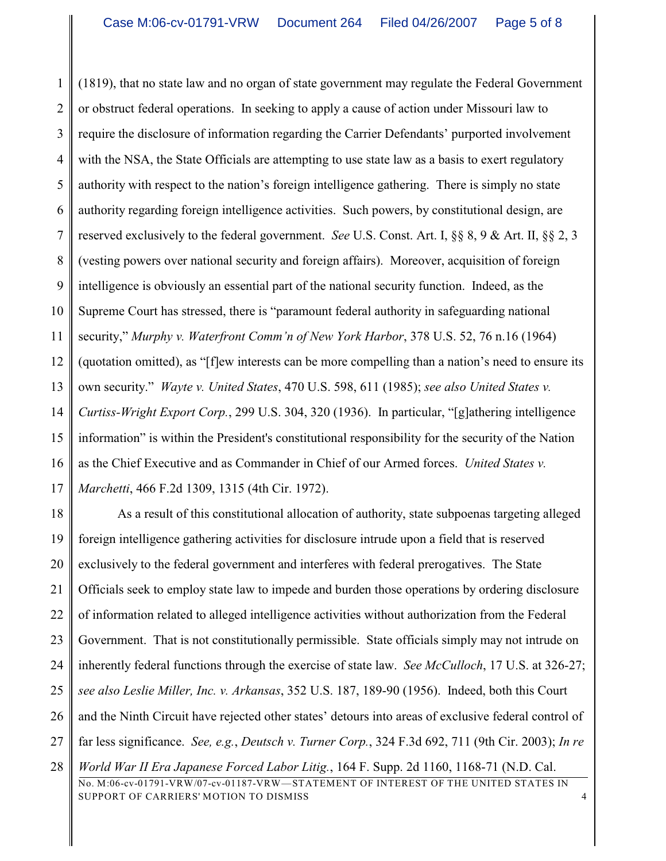1 2 3 4 5 6 7 8 9 10 11 12 13 14 15 16 17 (1819), that no state law and no organ of state government may regulate the Federal Government or obstruct federal operations. In seeking to apply a cause of action under Missouri law to require the disclosure of information regarding the Carrier Defendants' purported involvement with the NSA, the State Officials are attempting to use state law as a basis to exert regulatory authority with respect to the nation's foreign intelligence gathering. There is simply no state authority regarding foreign intelligence activities. Such powers, by constitutional design, are reserved exclusively to the federal government. *See* U.S. Const. Art. I, §§ 8, 9 & Art. II, §§ 2, 3 (vesting powers over national security and foreign affairs). Moreover, acquisition of foreign intelligence is obviously an essential part of the national security function. Indeed, as the Supreme Court has stressed, there is "paramount federal authority in safeguarding national security," *Murphy v. Waterfront Comm'n of New York Harbor*, 378 U.S. 52, 76 n.16 (1964) (quotation omitted), as "[f]ew interests can be more compelling than a nation's need to ensure its own security." *Wayte v. United States*, 470 U.S. 598, 611 (1985); *see also United States v. Curtiss-Wright Export Corp.*, 299 U.S. 304, 320 (1936). In particular, "[g]athering intelligence information" is within the President's constitutional responsibility for the security of the Nation as the Chief Executive and as Commander in Chief of our Armed forces. *United States v. Marchetti*, 466 F.2d 1309, 1315 (4th Cir. 1972).

18 19 20 21 22 23 24 25 26 27 28 As a result of this constitutional allocation of authority, state subpoenas targeting alleged foreign intelligence gathering activities for disclosure intrude upon a field that is reserved exclusively to the federal government and interferes with federal prerogatives. The State Officials seek to employ state law to impede and burden those operations by ordering disclosure of information related to alleged intelligence activities without authorization from the Federal Government. That is not constitutionally permissible. State officials simply may not intrude on inherently federal functions through the exercise of state law. *See McCulloch*, 17 U.S. at 326-27; *see also Leslie Miller, Inc. v. Arkansas*, 352 U.S. 187, 189-90 (1956). Indeed, both this Court and the Ninth Circuit have rejected other states' detours into areas of exclusive federal control of far less significance. *See, e.g.*, *Deutsch v. Turner Corp.*, 324 F.3d 692, 711 (9th Cir. 2003); *In re World War II Era Japanese Forced Labor Litig.*, 164 F. Supp. 2d 1160, 1168-71 (N.D. Cal.

No. M:06-cv-01791-VRW/07-cv-01187-VRW—STATEMENT OF INTEREST OF THE UNITED STATES IN SUPPORT OF CARRIERS' MOTION TO DISMISS 4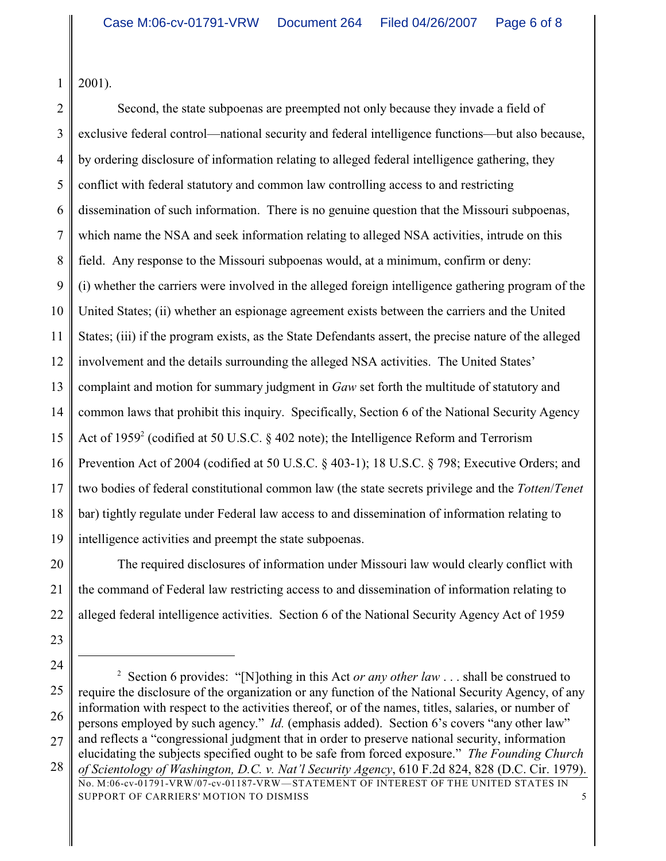1 2001).

2 3 4 5 6 7 8 9 10 11 12 13 14 15 16 17 18 19 Second, the state subpoenas are preempted not only because they invade a field of exclusive federal control—national security and federal intelligence functions—but also because, by ordering disclosure of information relating to alleged federal intelligence gathering, they conflict with federal statutory and common law controlling access to and restricting dissemination of such information. There is no genuine question that the Missouri subpoenas, which name the NSA and seek information relating to alleged NSA activities, intrude on this field. Any response to the Missouri subpoenas would, at a minimum, confirm or deny: (i) whether the carriers were involved in the alleged foreign intelligence gathering program of the United States; (ii) whether an espionage agreement exists between the carriers and the United States; (iii) if the program exists, as the State Defendants assert, the precise nature of the alleged involvement and the details surrounding the alleged NSA activities. The United States' complaint and motion for summary judgment in *Gaw* set forth the multitude of statutory and common laws that prohibit this inquiry. Specifically, Section 6 of the National Security Agency Act of 1959<sup>2</sup> (codified at 50 U.S.C.  $\S$  402 note); the Intelligence Reform and Terrorism Prevention Act of 2004 (codified at 50 U.S.C. § 403-1); 18 U.S.C. § 798; Executive Orders; and two bodies of federal constitutional common law (the state secrets privilege and the *Totten*/*Tenet* bar) tightly regulate under Federal law access to and dissemination of information relating to intelligence activities and preempt the state subpoenas.

20 21 22 The required disclosures of information under Missouri law would clearly conflict with the command of Federal law restricting access to and dissemination of information relating to alleged federal intelligence activities. Section 6 of the National Security Agency Act of 1959

23 24

<sup>25</sup> 26 27 28 <sup>2</sup> Section 6 provides: "[N]othing in this Act *or any other law* . . . shall be construed to require the disclosure of the organization or any function of the National Security Agency, of any information with respect to the activities thereof, or of the names, titles, salaries, or number of persons employed by such agency." *Id.* (emphasis added). Section 6's covers "any other law" and reflects a "congressional judgment that in order to preserve national security, information elucidating the subjects specified ought to be safe from forced exposure." *The Founding Church of Scientology of Washington, D.C. v. Nat'l Security Agency*, 610 F.2d 824, 828 (D.C. Cir. 1979).

No. M:06-cv-01791-VRW/07-cv-01187-VRW—STATEMENT OF INTEREST OF THE UNITED STATES IN SUPPORT OF CARRIERS' MOTION TO DISMISS 5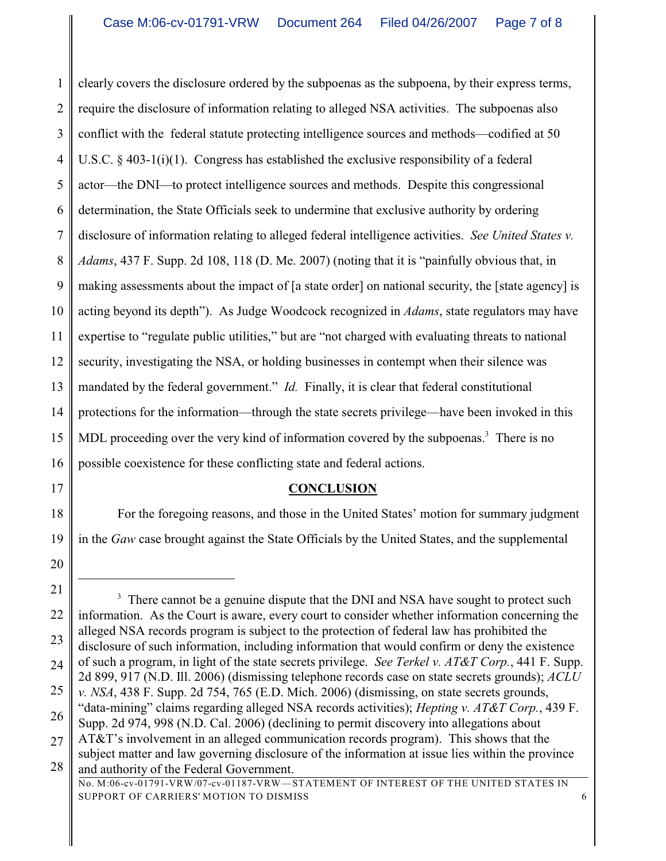1 2 3 4 5 6 7 8 9 10 11 12 13 14 15 16 clearly covers the disclosure ordered by the subpoenas as the subpoena, by their express terms, require the disclosure of information relating to alleged NSA activities. The subpoenas also conflict with the federal statute protecting intelligence sources and methods—codified at 50 U.S.C. § 403-1(i)(1). Congress has established the exclusive responsibility of a federal actor—the DNI—to protect intelligence sources and methods. Despite this congressional determination, the State Officials seek to undermine that exclusive authority by ordering disclosure of information relating to alleged federal intelligence activities. *See United States v. Adams*, 437 F. Supp. 2d 108, 118 (D. Me. 2007) (noting that it is "painfully obvious that, in making assessments about the impact of [a state order] on national security, the [state agency] is acting beyond its depth"). As Judge Woodcock recognized in *Adams*, state regulators may have expertise to "regulate public utilities," but are "not charged with evaluating threats to national security, investigating the NSA, or holding businesses in contempt when their silence was mandated by the federal government." *Id.* Finally, it is clear that federal constitutional protections for the information—through the state secrets privilege—have been invoked in this MDL proceeding over the very kind of information covered by the subpoenas.<sup>3</sup> There is no possible coexistence for these conflicting state and federal actions.

17

# 18

19 For the foregoing reasons, and those in the United States' motion for summary judgment in the *Gaw* case brought against the State Officials by the United States, and the supplemental

20

**CONCLUSION**

No. M:06-cv-01791-VRW/07-cv-01187-VRW—STATEMENT OF INTEREST OF THE UNITED STATES IN SUPPORT OF CARRIERS' MOTION TO DISMISS 6

<sup>21</sup> 22 23 24 25 26 27 28 <sup>3</sup> There cannot be a genuine dispute that the DNI and NSA have sought to protect such information. As the Court is aware, every court to consider whether information concerning the alleged NSA records program is subject to the protection of federal law has prohibited the disclosure of such information, including information that would confirm or deny the existence of such a program, in light of the state secrets privilege. *See Terkel v. AT&T Corp.*, 441 F. Supp. 2d 899, 917 (N.D. Ill. 2006) (dismissing telephone records case on state secrets grounds); *ACLU v. NSA*, 438 F. Supp. 2d 754, 765 (E.D. Mich. 2006) (dismissing, on state secrets grounds, "data-mining" claims regarding alleged NSA records activities); *Hepting v. AT&T Corp.*, 439 F. Supp. 2d 974, 998 (N.D. Cal. 2006) (declining to permit discovery into allegations about AT&T's involvement in an alleged communication records program). This shows that the subject matter and law governing disclosure of the information at issue lies within the province and authority of the Federal Government.